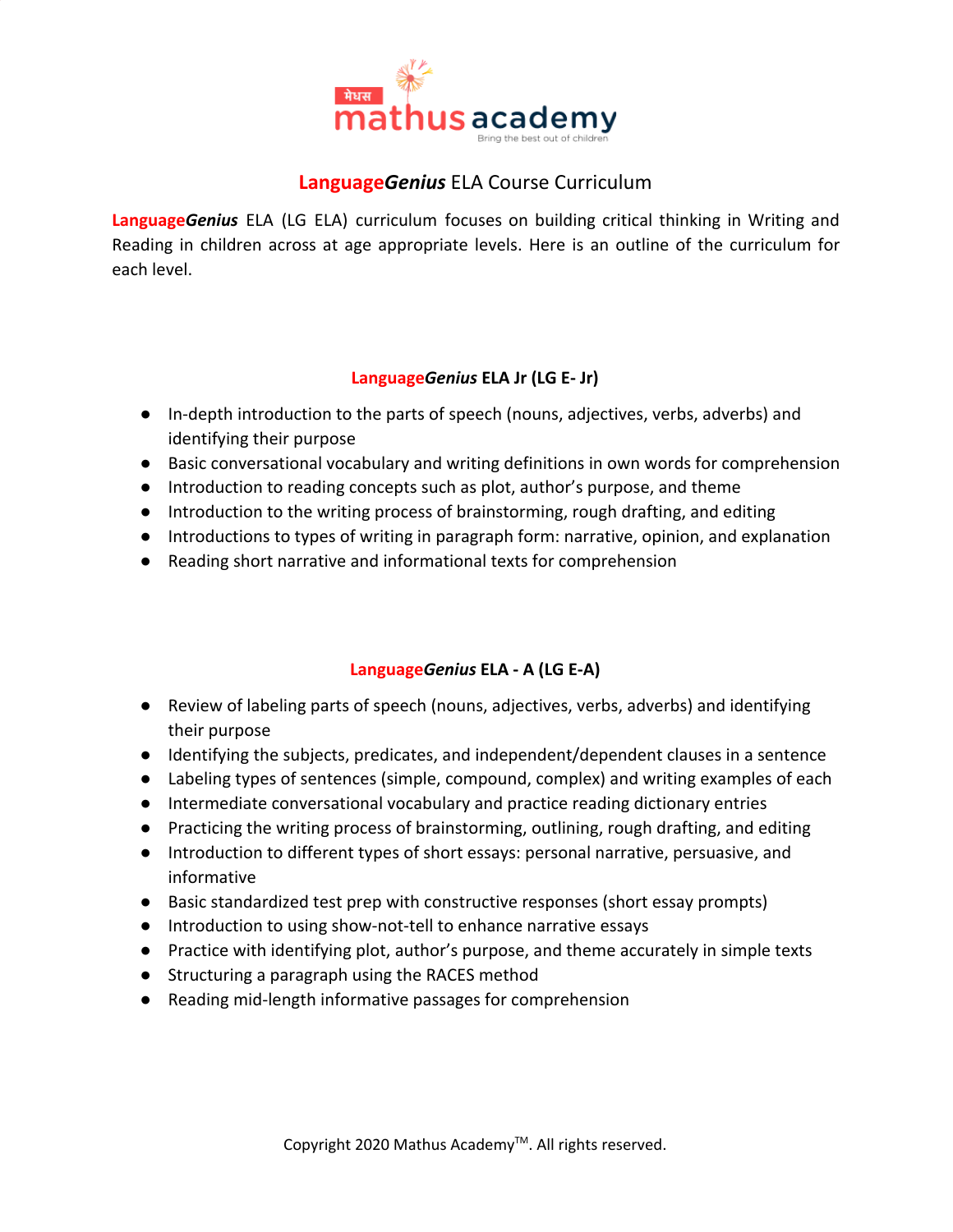

# **Language***Genius* ELA Course Curriculum

**Language***Genius* ELA (LG ELA) curriculum focuses on building critical thinking in Writing and Reading in children across at age appropriate levels. Here is an outline of the curriculum for each level.

#### **Language***Genius* **ELA Jr (LG E- Jr)**

- In-depth introduction to the parts of speech (nouns, adjectives, verbs, adverbs) and identifying their purpose
- Basic conversational vocabulary and writing definitions in own words for comprehension
- Introduction to reading concepts such as plot, author's purpose, and theme
- Introduction to the writing process of brainstorming, rough drafting, and editing
- Introductions to types of writing in paragraph form: narrative, opinion, and explanation
- Reading short narrative and informational texts for comprehension

### **Language***Genius* **ELA - A (LG E-A)**

- Review of labeling parts of speech (nouns, adjectives, verbs, adverbs) and identifying their purpose
- Identifying the subjects, predicates, and independent/dependent clauses in a sentence
- Labeling types of sentences (simple, compound, complex) and writing examples of each
- Intermediate conversational vocabulary and practice reading dictionary entries
- Practicing the writing process of brainstorming, outlining, rough drafting, and editing
- Introduction to different types of short essays: personal narrative, persuasive, and informative
- Basic standardized test prep with constructive responses (short essay prompts)
- Introduction to using show-not-tell to enhance narrative essays
- Practice with identifying plot, author's purpose, and theme accurately in simple texts
- Structuring a paragraph using the RACES method
- Reading mid-length informative passages for comprehension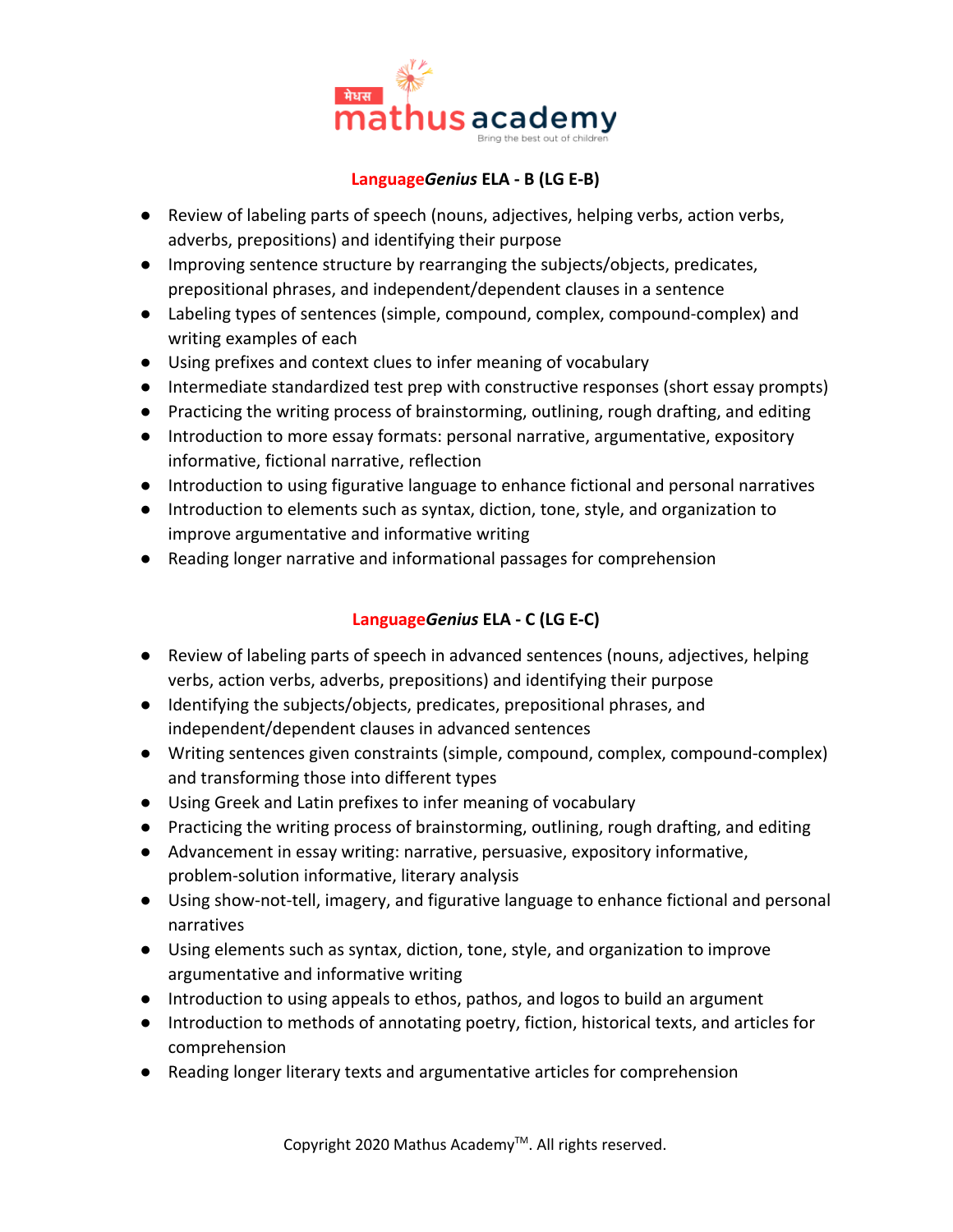

#### **Language***Genius* **ELA - B (LG E-B)**

- Review of labeling parts of speech (nouns, adjectives, helping verbs, action verbs, adverbs, prepositions) and identifying their purpose
- Improving sentence structure by rearranging the subjects/objects, predicates, prepositional phrases, and independent/dependent clauses in a sentence
- Labeling types of sentences (simple, compound, complex, compound-complex) and writing examples of each
- Using prefixes and context clues to infer meaning of vocabulary
- Intermediate standardized test prep with constructive responses (short essay prompts)
- Practicing the writing process of brainstorming, outlining, rough drafting, and editing
- Introduction to more essay formats: personal narrative, argumentative, expository informative, fictional narrative, reflection
- Introduction to using figurative language to enhance fictional and personal narratives
- Introduction to elements such as syntax, diction, tone, style, and organization to improve argumentative and informative writing
- Reading longer narrative and informational passages for comprehension

## **Language***Genius* **ELA - C (LG E-C)**

- Review of labeling parts of speech in advanced sentences (nouns, adjectives, helping verbs, action verbs, adverbs, prepositions) and identifying their purpose
- Identifying the subjects/objects, predicates, prepositional phrases, and independent/dependent clauses in advanced sentences
- Writing sentences given constraints (simple, compound, complex, compound-complex) and transforming those into different types
- Using Greek and Latin prefixes to infer meaning of vocabulary
- Practicing the writing process of brainstorming, outlining, rough drafting, and editing
- Advancement in essay writing: narrative, persuasive, expository informative, problem-solution informative, literary analysis
- Using show-not-tell, imagery, and figurative language to enhance fictional and personal narratives
- Using elements such as syntax, diction, tone, style, and organization to improve argumentative and informative writing
- Introduction to using appeals to ethos, pathos, and logos to build an argument
- Introduction to methods of annotating poetry, fiction, historical texts, and articles for comprehension
- Reading longer literary texts and argumentative articles for comprehension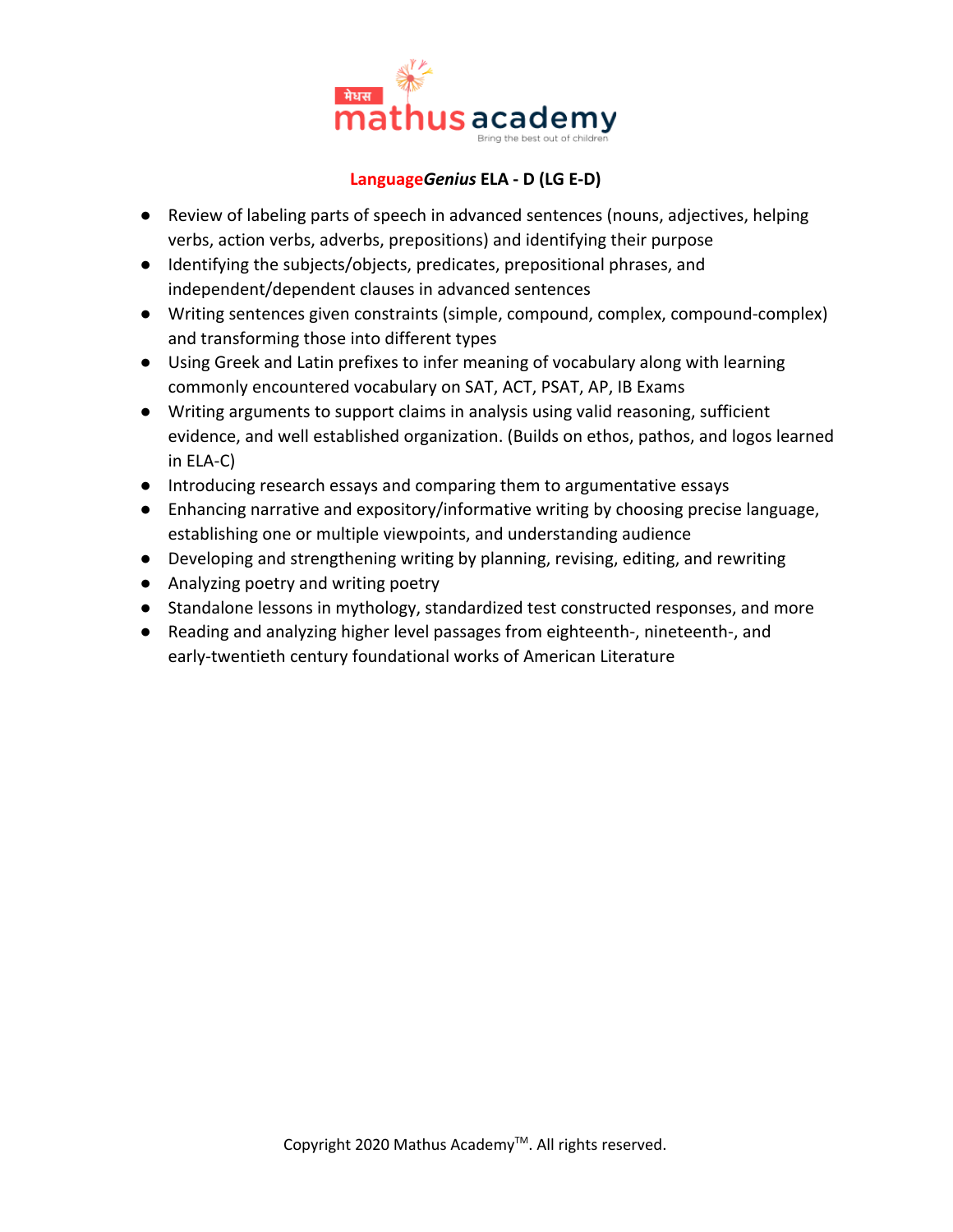

#### **Language***Genius* **ELA - D (LG E-D)**

- Review of labeling parts of speech in advanced sentences (nouns, adjectives, helping verbs, action verbs, adverbs, prepositions) and identifying their purpose
- Identifying the subjects/objects, predicates, prepositional phrases, and independent/dependent clauses in advanced sentences
- Writing sentences given constraints (simple, compound, complex, compound-complex) and transforming those into different types
- Using Greek and Latin prefixes to infer meaning of vocabulary along with learning commonly encountered vocabulary on SAT, ACT, PSAT, AP, IB Exams
- Writing arguments to support claims in analysis using valid reasoning, sufficient evidence, and well established organization. (Builds on ethos, pathos, and logos learned in ELA-C)
- Introducing research essays and comparing them to argumentative essays
- Enhancing narrative and expository/informative writing by choosing precise language, establishing one or multiple viewpoints, and understanding audience
- Developing and strengthening writing by planning, revising, editing, and rewriting
- Analyzing poetry and writing poetry
- Standalone lessons in mythology, standardized test constructed responses, and more
- Reading and analyzing higher level passages from eighteenth-, nineteenth-, and early-twentieth century foundational works of American Literature